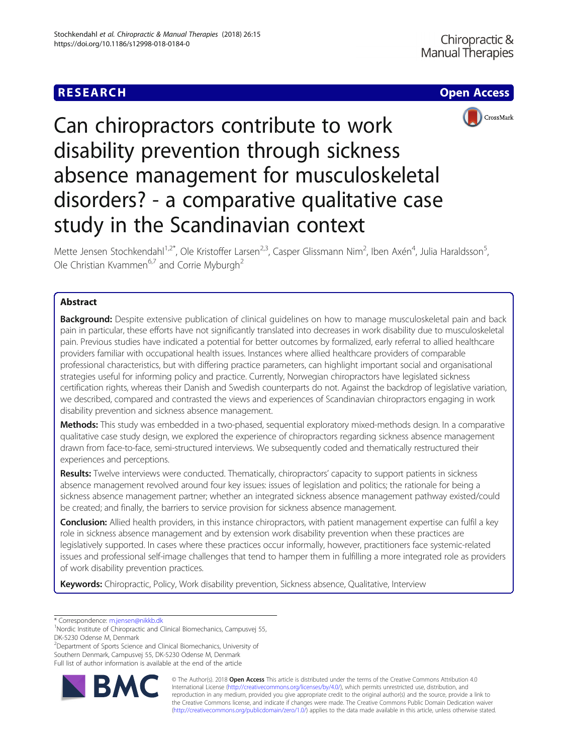# **RESEARCH CHE Open Access**



Can chiropractors contribute to work disability prevention through sickness absence management for musculoskeletal disorders? - a comparative qualitative case study in the Scandinavian context

Mette Jensen Stochkendahl<sup>1,2\*</sup>, Ole Kristoffer Larsen<sup>2,3</sup>, Casper Glissmann Nim<sup>2</sup>, Iben Axén<sup>4</sup>, Julia Haraldsson<sup>5</sup> , Ole Christian Kvammen<sup>6,7</sup> and Corrie Myburgh<sup>2</sup>

## Abstract

**Background:** Despite extensive publication of clinical quidelines on how to manage musculoskeletal pain and back pain in particular, these efforts have not significantly translated into decreases in work disability due to musculoskeletal pain. Previous studies have indicated a potential for better outcomes by formalized, early referral to allied healthcare providers familiar with occupational health issues. Instances where allied healthcare providers of comparable professional characteristics, but with differing practice parameters, can highlight important social and organisational strategies useful for informing policy and practice. Currently, Norwegian chiropractors have legislated sickness certification rights, whereas their Danish and Swedish counterparts do not. Against the backdrop of legislative variation, we described, compared and contrasted the views and experiences of Scandinavian chiropractors engaging in work disability prevention and sickness absence management.

Methods: This study was embedded in a two-phased, sequential exploratory mixed-methods design. In a comparative qualitative case study design, we explored the experience of chiropractors regarding sickness absence management drawn from face-to-face, semi-structured interviews. We subsequently coded and thematically restructured their experiences and perceptions.

Results: Twelve interviews were conducted. Thematically, chiropractors' capacity to support patients in sickness absence management revolved around four key issues: issues of legislation and politics; the rationale for being a sickness absence management partner; whether an integrated sickness absence management pathway existed/could be created; and finally, the barriers to service provision for sickness absence management.

Conclusion: Allied health providers, in this instance chiropractors, with patient management expertise can fulfil a key role in sickness absence management and by extension work disability prevention when these practices are legislatively supported. In cases where these practices occur informally, however, practitioners face systemic-related issues and professional self-image challenges that tend to hamper them in fulfilling a more integrated role as providers of work disability prevention practices.

Keywords: Chiropractic, Policy, Work disability prevention, Sickness absence, Qualitative, Interview

\* Correspondence: [m.jensen@nikkb.dk](mailto:m.jensen@nikkb.dk) <sup>1</sup>

<sup>2</sup> Department of Sports Science and Clinical Biomechanics, University of Southern Denmark, Campusvej 55, DK-5230 Odense M, Denmark Full list of author information is available at the end of the article



© The Author(s). 2018 Open Access This article is distributed under the terms of the Creative Commons Attribution 4.0 International License [\(http://creativecommons.org/licenses/by/4.0/](http://creativecommons.org/licenses/by/4.0/)), which permits unrestricted use, distribution, and reproduction in any medium, provided you give appropriate credit to the original author(s) and the source, provide a link to the Creative Commons license, and indicate if changes were made. The Creative Commons Public Domain Dedication waiver [\(http://creativecommons.org/publicdomain/zero/1.0/](http://creativecommons.org/publicdomain/zero/1.0/)) applies to the data made available in this article, unless otherwise stated.

<sup>&</sup>lt;sup>1</sup>Nordic Institute of Chiropractic and Clinical Biomechanics, Campusvej 55, DK-5230 Odense M, Denmark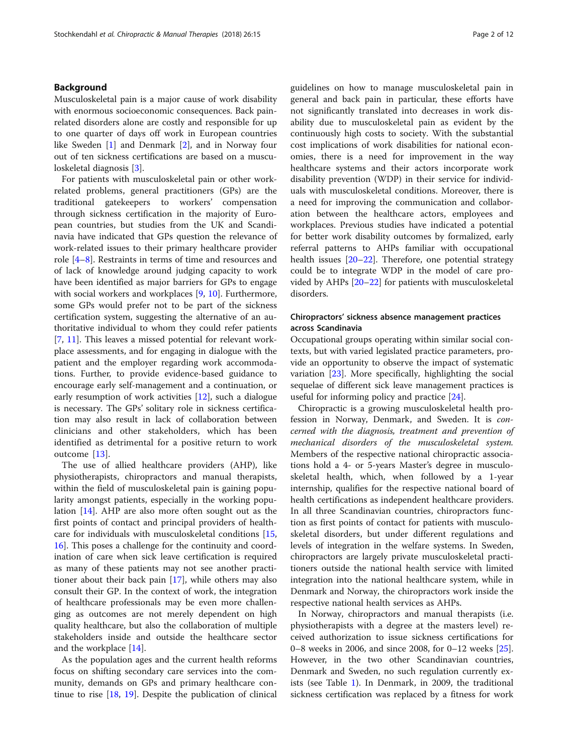### Background

Musculoskeletal pain is a major cause of work disability with enormous socioeconomic consequences. Back painrelated disorders alone are costly and responsible for up to one quarter of days off work in European countries like Sweden [\[1\]](#page-10-0) and Denmark [\[2](#page-10-0)], and in Norway four out of ten sickness certifications are based on a musculoskeletal diagnosis [\[3](#page-10-0)].

For patients with musculoskeletal pain or other workrelated problems, general practitioners (GPs) are the traditional gatekeepers to workers' compensation through sickness certification in the majority of European countries, but studies from the UK and Scandinavia have indicated that GPs question the relevance of work-related issues to their primary healthcare provider role [[4](#page-10-0)–[8](#page-10-0)]. Restraints in terms of time and resources and of lack of knowledge around judging capacity to work have been identified as major barriers for GPs to engage with social workers and workplaces [\[9](#page-10-0), [10](#page-10-0)]. Furthermore, some GPs would prefer not to be part of the sickness certification system, suggesting the alternative of an authoritative individual to whom they could refer patients [[7,](#page-10-0) [11](#page-10-0)]. This leaves a missed potential for relevant workplace assessments, and for engaging in dialogue with the patient and the employer regarding work accommodations. Further, to provide evidence-based guidance to encourage early self-management and a continuation, or early resumption of work activities [\[12](#page-11-0)], such a dialogue is necessary. The GPs' solitary role in sickness certification may also result in lack of collaboration between clinicians and other stakeholders, which has been identified as detrimental for a positive return to work outcome [\[13](#page-11-0)].

The use of allied healthcare providers (AHP), like physiotherapists, chiropractors and manual therapists, within the field of musculoskeletal pain is gaining popularity amongst patients, especially in the working population [\[14\]](#page-11-0). AHP are also more often sought out as the first points of contact and principal providers of healthcare for individuals with musculoskeletal conditions [[15](#page-11-0), [16\]](#page-11-0). This poses a challenge for the continuity and coordination of care when sick leave certification is required as many of these patients may not see another practitioner about their back pain [[17\]](#page-11-0), while others may also consult their GP. In the context of work, the integration of healthcare professionals may be even more challenging as outcomes are not merely dependent on high quality healthcare, but also the collaboration of multiple stakeholders inside and outside the healthcare sector and the workplace [\[14\]](#page-11-0).

As the population ages and the current health reforms focus on shifting secondary care services into the community, demands on GPs and primary healthcare continue to rise [[18](#page-11-0), [19](#page-11-0)]. Despite the publication of clinical guidelines on how to manage musculoskeletal pain in general and back pain in particular, these efforts have not significantly translated into decreases in work disability due to musculoskeletal pain as evident by the continuously high costs to society. With the substantial cost implications of work disabilities for national economies, there is a need for improvement in the way healthcare systems and their actors incorporate work disability prevention (WDP) in their service for individuals with musculoskeletal conditions. Moreover, there is a need for improving the communication and collaboration between the healthcare actors, employees and workplaces. Previous studies have indicated a potential for better work disability outcomes by formalized, early referral patterns to AHPs familiar with occupational health issues [\[20](#page-11-0)–[22\]](#page-11-0). Therefore, one potential strategy could be to integrate WDP in the model of care provided by AHPs [[20](#page-11-0)–[22](#page-11-0)] for patients with musculoskeletal disorders.

### Chiropractors' sickness absence management practices across Scandinavia

Occupational groups operating within similar social contexts, but with varied legislated practice parameters, provide an opportunity to observe the impact of systematic variation [\[23\]](#page-11-0). More specifically, highlighting the social sequelae of different sick leave management practices is useful for informing policy and practice [\[24](#page-11-0)].

Chiropractic is a growing musculoskeletal health profession in Norway, Denmark, and Sweden. It is concerned with the diagnosis, treatment and prevention of mechanical disorders of the musculoskeletal system. Members of the respective national chiropractic associations hold a 4- or 5-years Master's degree in musculoskeletal health, which, when followed by a 1-year internship, qualifies for the respective national board of health certifications as independent healthcare providers. In all three Scandinavian countries, chiropractors function as first points of contact for patients with musculoskeletal disorders, but under different regulations and levels of integration in the welfare systems. In Sweden, chiropractors are largely private musculoskeletal practitioners outside the national health service with limited integration into the national healthcare system, while in Denmark and Norway, the chiropractors work inside the respective national health services as AHPs.

In Norway, chiropractors and manual therapists (i.e. physiotherapists with a degree at the masters level) received authorization to issue sickness certifications for 0–8 weeks in 2006, and since 2008, for 0–12 weeks [\[25](#page-11-0)]. However, in the two other Scandinavian countries, Denmark and Sweden, no such regulation currently exists (see Table [1](#page-2-0)). In Denmark, in 2009, the traditional sickness certification was replaced by a fitness for work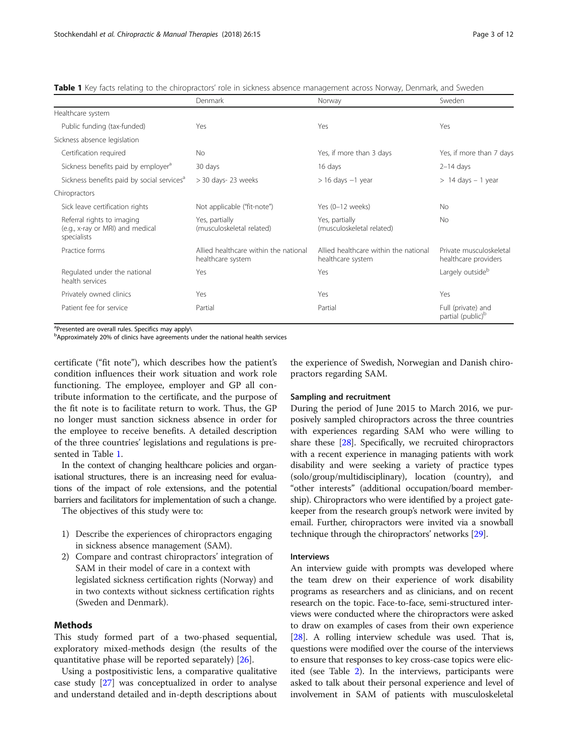|                                                                               | Denmark                                                    | Norway                                                     | Sweden                                              |
|-------------------------------------------------------------------------------|------------------------------------------------------------|------------------------------------------------------------|-----------------------------------------------------|
| Healthcare system                                                             |                                                            |                                                            |                                                     |
| Public funding (tax-funded)                                                   | Yes                                                        | Yes                                                        | Yes                                                 |
| Sickness absence legislation                                                  |                                                            |                                                            |                                                     |
| Certification required                                                        | No.                                                        | Yes, if more than 3 days                                   | Yes, if more than 7 days                            |
| Sickness benefits paid by employer <sup>a</sup>                               | 30 days                                                    | 16 days                                                    | $2-14$ days                                         |
| Sickness benefits paid by social services <sup>a</sup>                        | > 30 days- 23 weeks                                        | $>$ 16 days $-1$ year                                      | $> 14$ days $-1$ year                               |
| Chiropractors                                                                 |                                                            |                                                            |                                                     |
| Sick leave certification rights                                               | Not applicable ("fit-note")                                | Yes (0-12 weeks)                                           | No                                                  |
| Referral rights to imaging<br>(e.g., x-ray or MRI) and medical<br>specialists | Yes, partially<br>(musculoskeletal related)                | Yes, partially<br>(musculoskeletal related)                | No                                                  |
| Practice forms                                                                | Allied healthcare within the national<br>healthcare system | Allied healthcare within the national<br>healthcare system | Private musculoskeletal<br>healthcare providers     |
| Regulated under the national<br>health services                               | Yes                                                        | Yes                                                        | Largely outside <sup>b</sup>                        |
| Privately owned clinics                                                       | Yes                                                        | Yes                                                        | Yes                                                 |
| Patient fee for service                                                       | Partial                                                    | Partial                                                    | Full (private) and<br>partial (public) <sup>b</sup> |

<span id="page-2-0"></span>Table 1 Key facts relating to the chiropractors' role in sickness absence management across Norway, Denmark, and Sweden

<sup>a</sup>Presented are overall rules. Specifics may apply\

<sup>b</sup>Approximately 20% of clinics have agreements under the national health services

certificate ("fit note"), which describes how the patient's condition influences their work situation and work role functioning. The employee, employer and GP all contribute information to the certificate, and the purpose of the fit note is to facilitate return to work. Thus, the GP no longer must sanction sickness absence in order for the employee to receive benefits. A detailed description of the three countries' legislations and regulations is presented in Table 1.

In the context of changing healthcare policies and organisational structures, there is an increasing need for evaluations of the impact of role extensions, and the potential barriers and facilitators for implementation of such a change.

The objectives of this study were to:

- 1) Describe the experiences of chiropractors engaging in sickness absence management (SAM).
- 2) Compare and contrast chiropractors' integration of SAM in their model of care in a context with legislated sickness certification rights (Norway) and in two contexts without sickness certification rights (Sweden and Denmark).

### Methods

This study formed part of a two-phased sequential, exploratory mixed-methods design (the results of the quantitative phase will be reported separately) [\[26](#page-11-0)].

Using a postpositivistic lens, a comparative qualitative case study [[27](#page-11-0)] was conceptualized in order to analyse and understand detailed and in-depth descriptions about the experience of Swedish, Norwegian and Danish chiropractors regarding SAM.

#### Sampling and recruitment

During the period of June 2015 to March 2016, we purposively sampled chiropractors across the three countries with experiences regarding SAM who were willing to share these [[28](#page-11-0)]. Specifically, we recruited chiropractors with a recent experience in managing patients with work disability and were seeking a variety of practice types (solo/group/multidisciplinary), location (country), and "other interests" (additional occupation/board membership). Chiropractors who were identified by a project gatekeeper from the research group's network were invited by email. Further, chiropractors were invited via a snowball technique through the chiropractors' networks [\[29\]](#page-11-0).

#### Interviews

An interview guide with prompts was developed where the team drew on their experience of work disability programs as researchers and as clinicians, and on recent research on the topic. Face-to-face, semi-structured interviews were conducted where the chiropractors were asked to draw on examples of cases from their own experience [[28](#page-11-0)]. A rolling interview schedule was used. That is, questions were modified over the course of the interviews to ensure that responses to key cross-case topics were elicited (see Table [2\)](#page-3-0). In the interviews, participants were asked to talk about their personal experience and level of involvement in SAM of patients with musculoskeletal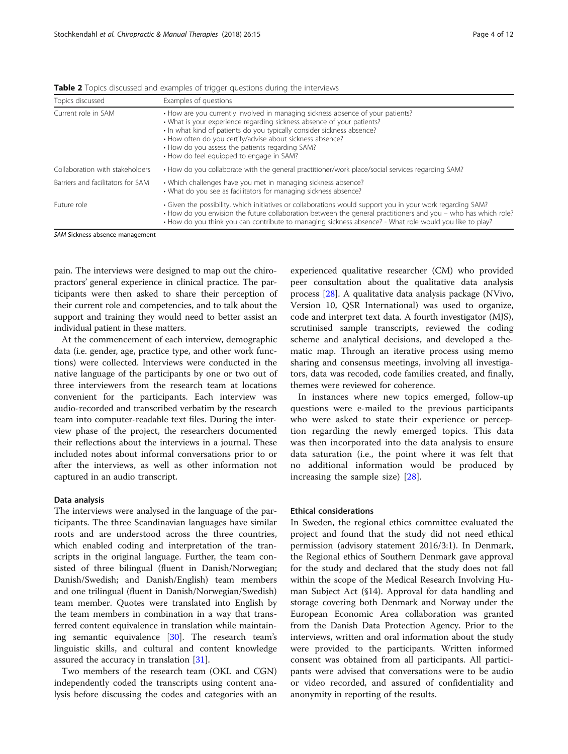| Topics discussed                  | Examples of questions                                                                                                                                                                                                                                                                                                                                                                           |  |  |
|-----------------------------------|-------------------------------------------------------------------------------------------------------------------------------------------------------------------------------------------------------------------------------------------------------------------------------------------------------------------------------------------------------------------------------------------------|--|--|
| Current role in SAM               | • How are you currently involved in managing sickness absence of your patients?<br>• What is your experience regarding sickness absence of your patients?<br>• In what kind of patients do you typically consider sickness absence?<br>• How often do you certify/advise about sickness absence?<br>• How do you assess the patients regarding SAM?<br>• How do feel equipped to engage in SAM? |  |  |
| Collaboration with stakeholders   | • How do you collaborate with the general practitioner/work place/social services regarding SAM?                                                                                                                                                                                                                                                                                                |  |  |
| Barriers and facilitators for SAM | • Which challenges have you met in managing sickness absence?<br>• What do you see as facilitators for managing sickness absence?                                                                                                                                                                                                                                                               |  |  |
| Future role                       | · Given the possibility, which initiatives or collaborations would support you in your work regarding SAM?<br>• How do you envision the future collaboration between the general practitioners and you – who has which role?<br>• How do you think you can contribute to managing sickness absence? - What role would you like to play?                                                         |  |  |

<span id="page-3-0"></span>Table 2 Topics discussed and examples of trigger questions during the interviews

SAM Sickness absence management

pain. The interviews were designed to map out the chiropractors' general experience in clinical practice. The participants were then asked to share their perception of their current role and competencies, and to talk about the support and training they would need to better assist an individual patient in these matters.

At the commencement of each interview, demographic data (i.e. gender, age, practice type, and other work functions) were collected. Interviews were conducted in the native language of the participants by one or two out of three interviewers from the research team at locations convenient for the participants. Each interview was audio-recorded and transcribed verbatim by the research team into computer-readable text files. During the interview phase of the project, the researchers documented their reflections about the interviews in a journal. These included notes about informal conversations prior to or after the interviews, as well as other information not captured in an audio transcript.

#### Data analysis

The interviews were analysed in the language of the participants. The three Scandinavian languages have similar roots and are understood across the three countries, which enabled coding and interpretation of the transcripts in the original language. Further, the team consisted of three bilingual (fluent in Danish/Norwegian; Danish/Swedish; and Danish/English) team members and one trilingual (fluent in Danish/Norwegian/Swedish) team member. Quotes were translated into English by the team members in combination in a way that transferred content equivalence in translation while maintaining semantic equivalence [\[30\]](#page-11-0). The research team's linguistic skills, and cultural and content knowledge assured the accuracy in translation [\[31\]](#page-11-0).

Two members of the research team (OKL and CGN) independently coded the transcripts using content analysis before discussing the codes and categories with an experienced qualitative researcher (CM) who provided peer consultation about the qualitative data analysis process [[28](#page-11-0)]. A qualitative data analysis package (NVivo, Version 10, QSR International) was used to organize, code and interpret text data. A fourth investigator (MJS), scrutinised sample transcripts, reviewed the coding scheme and analytical decisions, and developed a thematic map. Through an iterative process using memo sharing and consensus meetings, involving all investigators, data was recoded, code families created, and finally, themes were reviewed for coherence.

In instances where new topics emerged, follow-up questions were e-mailed to the previous participants who were asked to state their experience or perception regarding the newly emerged topics. This data was then incorporated into the data analysis to ensure data saturation (i.e., the point where it was felt that no additional information would be produced by increasing the sample size) [[28\]](#page-11-0).

#### Ethical considerations

In Sweden, the regional ethics committee evaluated the project and found that the study did not need ethical permission (advisory statement 2016/3:1). In Denmark, the Regional ethics of Southern Denmark gave approval for the study and declared that the study does not fall within the scope of the Medical Research Involving Human Subject Act (§14). Approval for data handling and storage covering both Denmark and Norway under the European Economic Area collaboration was granted from the Danish Data Protection Agency. Prior to the interviews, written and oral information about the study were provided to the participants. Written informed consent was obtained from all participants. All participants were advised that conversations were to be audio or video recorded, and assured of confidentiality and anonymity in reporting of the results.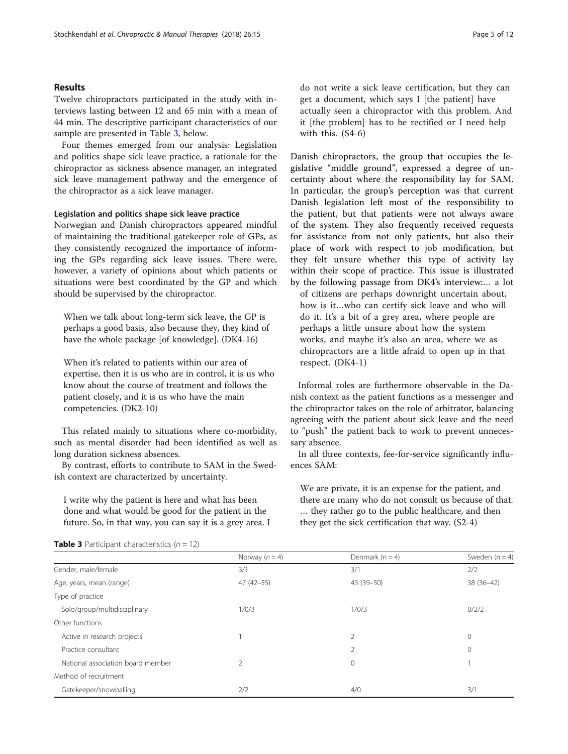#### Results

Twelve chiropractors participated in the study with interviews lasting between 12 and 65 min with a mean of 44 min. The descriptive participant characteristics of our sample are presented in Table 3, below.

Four themes emerged from our analysis: Legislation and politics shape sick leave practice, a rationale for the chiropractor as sickness absence manager, an integrated sick leave management pathway and the emergence of the chiropractor as a sick leave manager.

### Legislation and politics shape sick leave practice

Norwegian and Danish chiropractors appeared mindful of maintaining the traditional gatekeeper role of GPs, as they consistently recognized the importance of informing the GPs regarding sick leave issues. There were, however, a variety of opinions about which patients or situations were best coordinated by the GP and which should be supervised by the chiropractor.

When we talk about long-term sick leave, the GP is perhaps a good basis, also because they, they kind of have the whole package [of knowledge]. (DK4-16)

When it's related to patients within our area of expertise, then it is us who are in control, it is us who know about the course of treatment and follows the patient closely, and it is us who have the main competencies. (DK2-10)

This related mainly to situations where co-morbidity, such as mental disorder had been identified as well as long duration sickness absences.

By contrast, efforts to contribute to SAM in the Swedish context are characterized by uncertainty.

I write why the patient is here and what has been done and what would be good for the patient in the future. So, in that way, you can say it is a grey area. I do not write a sick leave certification, but they can get a document, which says I [the patient] have actually seen a chiropractor with this problem. And it [the problem] has to be rectified or I need help with this. (S4-6)

Danish chiropractors, the group that occupies the legislative "middle ground", expressed a degree of uncertainty about where the responsibility lay for SAM. In particular, the group's perception was that current Danish legislation left most of the responsibility to the patient, but that patients were not always aware of the system. They also frequently received requests for assistance from not only patients, but also their place of work with respect to job modification, but they felt unsure whether this type of activity lay within their scope of practice. This issue is illustrated by the following passage from DK4's interview:… a lot

of citizens are perhaps downright uncertain about, how is it…who can certify sick leave and who will do it. It's a bit of a grey area, where people are perhaps a little unsure about how the system works, and maybe it's also an area, where we as chiropractors are a little afraid to open up in that respect. (DK4-1)

Informal roles are furthermore observable in the Danish context as the patient functions as a messenger and the chiropractor takes on the role of arbitrator, balancing agreeing with the patient about sick leave and the need to "push" the patient back to work to prevent unnecessary absence.

In all three contexts, fee-for-service significantly influences SAM:

We are private, it is an expense for the patient, and there are many who do not consult us because of that. … they rather go to the public healthcare, and then they get the sick certification that way. (S2-4)

| <b>Table 3</b> Participant characteristics $(n = 12)$ |  |  |  |  |
|-------------------------------------------------------|--|--|--|--|
|-------------------------------------------------------|--|--|--|--|

|                                   | Norway $(n=4)$ | Denmark ( $n = 4$ ) | Sweden $(n = 4)$ |
|-----------------------------------|----------------|---------------------|------------------|
| Gender, male/female               | 3/1            | 3/1                 | 2/2              |
| Age, years, mean (range)          | $47(42 - 55)$  | 43 (39-50)          | 38 (36-42)       |
| Type of practice                  |                |                     |                  |
| Solo/group/multidisciplinary      | 1/0/3          | 1/0/3               | 0/2/2            |
| Other functions                   |                |                     |                  |
| Active in research projects       |                | $\overline{2}$      | 0                |
| Practice consultant               |                | $\overline{2}$      | 0                |
| National association board member | $\mathcal{P}$  | $\mathbf{0}$        |                  |
| Method of recruitment             |                |                     |                  |
| Gatekeeper/snowballing            | 2/2            | 4/0                 | 3/1              |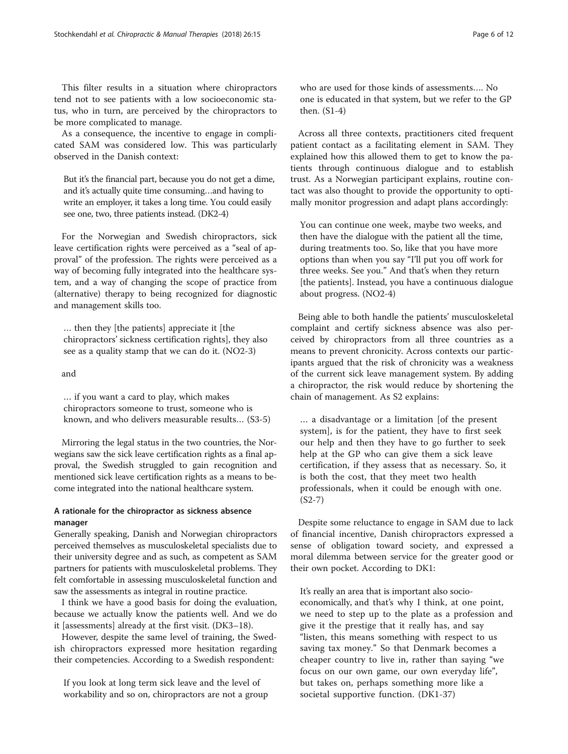This filter results in a situation where chiropractors tend not to see patients with a low socioeconomic status, who in turn, are perceived by the chiropractors to be more complicated to manage.

As a consequence, the incentive to engage in complicated SAM was considered low. This was particularly observed in the Danish context:

But it's the financial part, because you do not get a dime, and it's actually quite time consuming…and having to write an employer, it takes a long time. You could easily see one, two, three patients instead. (DK2-4)

For the Norwegian and Swedish chiropractors, sick leave certification rights were perceived as a "seal of approval" of the profession. The rights were perceived as a way of becoming fully integrated into the healthcare system, and a way of changing the scope of practice from (alternative) therapy to being recognized for diagnostic and management skills too.

… then they [the patients] appreciate it [the chiropractors' sickness certification rights], they also see as a quality stamp that we can do it. (NO2-3)

and

… if you want a card to play, which makes chiropractors someone to trust, someone who is known, and who delivers measurable results… (S3-5)

Mirroring the legal status in the two countries, the Norwegians saw the sick leave certification rights as a final approval, the Swedish struggled to gain recognition and mentioned sick leave certification rights as a means to become integrated into the national healthcare system.

### A rationale for the chiropractor as sickness absence manager

Generally speaking, Danish and Norwegian chiropractors perceived themselves as musculoskeletal specialists due to their university degree and as such, as competent as SAM partners for patients with musculoskeletal problems. They felt comfortable in assessing musculoskeletal function and saw the assessments as integral in routine practice.

I think we have a good basis for doing the evaluation, because we actually know the patients well. And we do it [assessments] already at the first visit. (DK3–18).

However, despite the same level of training, the Swedish chiropractors expressed more hesitation regarding their competencies. According to a Swedish respondent:

If you look at long term sick leave and the level of workability and so on, chiropractors are not a group

Across all three contexts, practitioners cited frequent patient contact as a facilitating element in SAM. They explained how this allowed them to get to know the patients through continuous dialogue and to establish trust. As a Norwegian participant explains, routine contact was also thought to provide the opportunity to optimally monitor progression and adapt plans accordingly:

You can continue one week, maybe two weeks, and then have the dialogue with the patient all the time, during treatments too. So, like that you have more options than when you say "I'll put you off work for three weeks. See you." And that's when they return [the patients]. Instead, you have a continuous dialogue about progress. (NO2-4)

Being able to both handle the patients' musculoskeletal complaint and certify sickness absence was also perceived by chiropractors from all three countries as a means to prevent chronicity. Across contexts our participants argued that the risk of chronicity was a weakness of the current sick leave management system. By adding a chiropractor, the risk would reduce by shortening the chain of management. As S2 explains:

… a disadvantage or a limitation [of the present system], is for the patient, they have to first seek our help and then they have to go further to seek help at the GP who can give them a sick leave certification, if they assess that as necessary. So, it is both the cost, that they meet two health professionals, when it could be enough with one. (S2-7)

Despite some reluctance to engage in SAM due to lack of financial incentive, Danish chiropractors expressed a sense of obligation toward society, and expressed a moral dilemma between service for the greater good or their own pocket. According to DK1:

It's really an area that is important also socioeconomically, and that's why I think, at one point, we need to step up to the plate as a profession and give it the prestige that it really has, and say "listen, this means something with respect to us saving tax money." So that Denmark becomes a cheaper country to live in, rather than saying "we focus on our own game, our own everyday life", but takes on, perhaps something more like a societal supportive function. (DK1-37)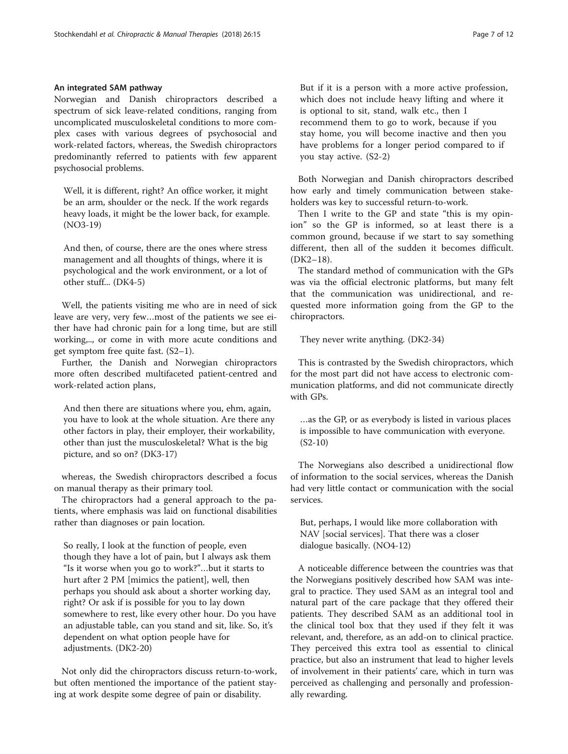### An integrated SAM pathway

Norwegian and Danish chiropractors described a spectrum of sick leave-related conditions, ranging from uncomplicated musculoskeletal conditions to more complex cases with various degrees of psychosocial and work-related factors, whereas, the Swedish chiropractors predominantly referred to patients with few apparent psychosocial problems.

Well, it is different, right? An office worker, it might be an arm, shoulder or the neck. If the work regards heavy loads, it might be the lower back, for example. (NO3-19)

And then, of course, there are the ones where stress management and all thoughts of things, where it is psychological and the work environment, or a lot of other stuff... (DK4-5)

Well, the patients visiting me who are in need of sick leave are very, very few…most of the patients we see either have had chronic pain for a long time, but are still working,.., or come in with more acute conditions and get symptom free quite fast. (S2–1).

Further, the Danish and Norwegian chiropractors more often described multifaceted patient-centred and work-related action plans,

And then there are situations where you, ehm, again, you have to look at the whole situation. Are there any other factors in play, their employer, their workability, other than just the musculoskeletal? What is the big picture, and so on? (DK3-17)

whereas, the Swedish chiropractors described a focus on manual therapy as their primary tool.

The chiropractors had a general approach to the patients, where emphasis was laid on functional disabilities rather than diagnoses or pain location.

So really, I look at the function of people, even though they have a lot of pain, but I always ask them "Is it worse when you go to work?"…but it starts to hurt after 2 PM [mimics the patient], well, then perhaps you should ask about a shorter working day, right? Or ask if is possible for you to lay down somewhere to rest, like every other hour. Do you have an adjustable table, can you stand and sit, like. So, it's dependent on what option people have for adjustments. (DK2-20)

Not only did the chiropractors discuss return-to-work, but often mentioned the importance of the patient staying at work despite some degree of pain or disability.

But if it is a person with a more active profession, which does not include heavy lifting and where it is optional to sit, stand, walk etc., then I recommend them to go to work, because if you stay home, you will become inactive and then you have problems for a longer period compared to if you stay active. (S2-2)

Both Norwegian and Danish chiropractors described how early and timely communication between stakeholders was key to successful return-to-work.

Then I write to the GP and state "this is my opinion" so the GP is informed, so at least there is a common ground, because if we start to say something different, then all of the sudden it becomes difficult. (DK2–18).

The standard method of communication with the GPs was via the official electronic platforms, but many felt that the communication was unidirectional, and requested more information going from the GP to the chiropractors.

They never write anything. (DK2-34)

This is contrasted by the Swedish chiropractors, which for the most part did not have access to electronic communication platforms, and did not communicate directly with GPs.

…as the GP, or as everybody is listed in various places is impossible to have communication with everyone. (S2-10)

The Norwegians also described a unidirectional flow of information to the social services, whereas the Danish had very little contact or communication with the social services.

But, perhaps, I would like more collaboration with NAV [social services]. That there was a closer dialogue basically. (NO4-12)

A noticeable difference between the countries was that the Norwegians positively described how SAM was integral to practice. They used SAM as an integral tool and natural part of the care package that they offered their patients. They described SAM as an additional tool in the clinical tool box that they used if they felt it was relevant, and, therefore, as an add-on to clinical practice. They perceived this extra tool as essential to clinical practice, but also an instrument that lead to higher levels of involvement in their patients' care, which in turn was perceived as challenging and personally and professionally rewarding.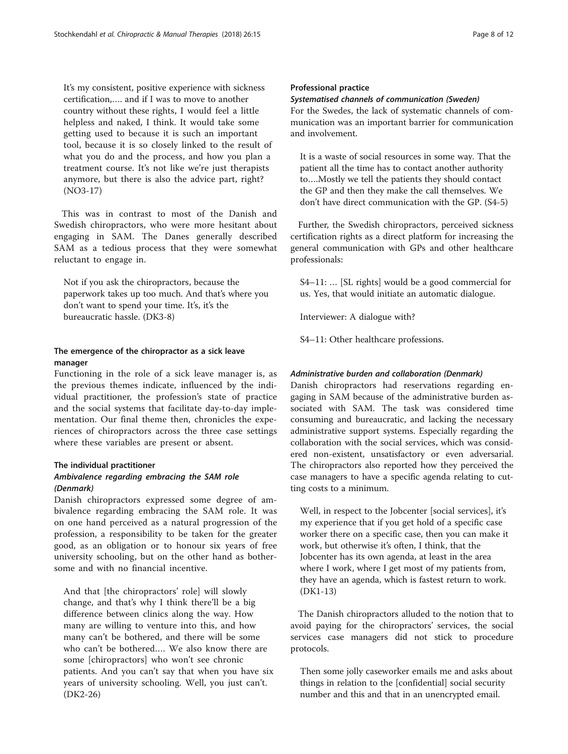It's my consistent, positive experience with sickness certification,…. and if I was to move to another country without these rights, I would feel a little helpless and naked, I think. It would take some getting used to because it is such an important tool, because it is so closely linked to the result of what you do and the process, and how you plan a treatment course. It's not like we're just therapists anymore, but there is also the advice part, right? (NO3-17)

This was in contrast to most of the Danish and Swedish chiropractors, who were more hesitant about engaging in SAM. The Danes generally described SAM as a tedious process that they were somewhat reluctant to engage in.

Not if you ask the chiropractors, because the paperwork takes up too much. And that's where you don't want to spend your time. It's, it's the bureaucratic hassle. (DK3-8)

### The emergence of the chiropractor as a sick leave manager

Functioning in the role of a sick leave manager is, as the previous themes indicate, influenced by the individual practitioner, the profession's state of practice and the social systems that facilitate day-to-day implementation. Our final theme then, chronicles the experiences of chiropractors across the three case settings where these variables are present or absent.

### The individual practitioner

### Ambivalence regarding embracing the SAM role (Denmark)

Danish chiropractors expressed some degree of ambivalence regarding embracing the SAM role. It was on one hand perceived as a natural progression of the profession, a responsibility to be taken for the greater good, as an obligation or to honour six years of free university schooling, but on the other hand as bothersome and with no financial incentive.

And that [the chiropractors' role] will slowly change, and that's why I think there'll be a big difference between clinics along the way. How many are willing to venture into this, and how many can't be bothered, and there will be some who can't be bothered…. We also know there are some [chiropractors] who won't see chronic patients. And you can't say that when you have six years of university schooling. Well, you just can't. (DK2-26)

### Professional practice

#### Systematised channels of communication (Sweden)

For the Swedes, the lack of systematic channels of communication was an important barrier for communication and involvement.

It is a waste of social resources in some way. That the patient all the time has to contact another authority to….Mostly we tell the patients they should contact the GP and then they make the call themselves. We don't have direct communication with the GP. (S4-5)

Further, the Swedish chiropractors, perceived sickness certification rights as a direct platform for increasing the general communication with GPs and other healthcare professionals:

S4–11: … [SL rights] would be a good commercial for us. Yes, that would initiate an automatic dialogue.

Interviewer: A dialogue with?

S4–11: Other healthcare professions.

### Administrative burden and collaboration (Denmark)

Danish chiropractors had reservations regarding engaging in SAM because of the administrative burden associated with SAM. The task was considered time consuming and bureaucratic, and lacking the necessary administrative support systems. Especially regarding the collaboration with the social services, which was considered non-existent, unsatisfactory or even adversarial. The chiropractors also reported how they perceived the case managers to have a specific agenda relating to cutting costs to a minimum.

Well, in respect to the Jobcenter [social services], it's my experience that if you get hold of a specific case worker there on a specific case, then you can make it work, but otherwise it's often, I think, that the Jobcenter has its own agenda, at least in the area where I work, where I get most of my patients from, they have an agenda, which is fastest return to work. (DK1-13)

The Danish chiropractors alluded to the notion that to avoid paying for the chiropractors' services, the social services case managers did not stick to procedure protocols.

Then some jolly caseworker emails me and asks about things in relation to the [confidential] social security number and this and that in an unencrypted email.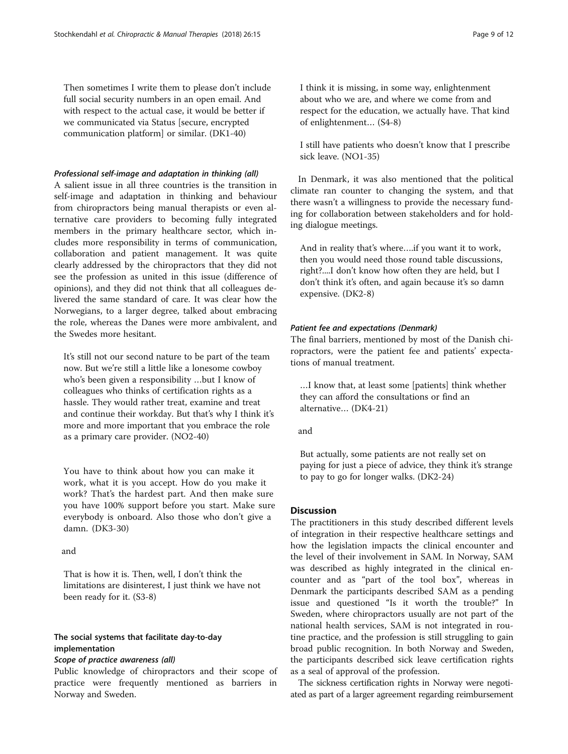Then sometimes I write them to please don't include full social security numbers in an open email. And with respect to the actual case, it would be better if we communicated via Status [secure, encrypted communication platform] or similar. (DK1-40)

#### Professional self-image and adaptation in thinking (all)

A salient issue in all three countries is the transition in self-image and adaptation in thinking and behaviour from chiropractors being manual therapists or even alternative care providers to becoming fully integrated members in the primary healthcare sector, which includes more responsibility in terms of communication, collaboration and patient management. It was quite clearly addressed by the chiropractors that they did not see the profession as united in this issue (difference of opinions), and they did not think that all colleagues delivered the same standard of care. It was clear how the Norwegians, to a larger degree, talked about embracing the role, whereas the Danes were more ambivalent, and the Swedes more hesitant.

It's still not our second nature to be part of the team now. But we're still a little like a lonesome cowboy who's been given a responsibility …but I know of colleagues who thinks of certification rights as a hassle. They would rather treat, examine and treat and continue their workday. But that's why I think it's more and more important that you embrace the role as a primary care provider. (NO2-40)

You have to think about how you can make it work, what it is you accept. How do you make it work? That's the hardest part. And then make sure you have 100% support before you start. Make sure everybody is onboard. Also those who don't give a damn. (DK3-30)

### and

That is how it is. Then, well, I don't think the limitations are disinterest, I just think we have not been ready for it. (S3-8)

### The social systems that facilitate day-to-day implementation

### Scope of practice awareness (all)

Public knowledge of chiropractors and their scope of practice were frequently mentioned as barriers in Norway and Sweden.

I think it is missing, in some way, enlightenment about who we are, and where we come from and respect for the education, we actually have. That kind of enlightenment… (S4-8)

I still have patients who doesn't know that I prescribe sick leave. (NO1-35)

In Denmark, it was also mentioned that the political climate ran counter to changing the system, and that there wasn't a willingness to provide the necessary funding for collaboration between stakeholders and for holding dialogue meetings.

And in reality that's where….if you want it to work, then you would need those round table discussions, right?....I don't know how often they are held, but I don't think it's often, and again because it's so damn expensive. (DK2-8)

### Patient fee and expectations (Denmark)

The final barriers, mentioned by most of the Danish chiropractors, were the patient fee and patients' expectations of manual treatment.

…I know that, at least some [patients] think whether they can afford the consultations or find an alternative… (DK4-21)

and

But actually, some patients are not really set on paying for just a piece of advice, they think it's strange to pay to go for longer walks. (DK2-24)

### **Discussion**

The practitioners in this study described different levels of integration in their respective healthcare settings and how the legislation impacts the clinical encounter and the level of their involvement in SAM. In Norway, SAM was described as highly integrated in the clinical encounter and as "part of the tool box", whereas in Denmark the participants described SAM as a pending issue and questioned "Is it worth the trouble?" In Sweden, where chiropractors usually are not part of the national health services, SAM is not integrated in routine practice, and the profession is still struggling to gain broad public recognition. In both Norway and Sweden, the participants described sick leave certification rights as a seal of approval of the profession.

The sickness certification rights in Norway were negotiated as part of a larger agreement regarding reimbursement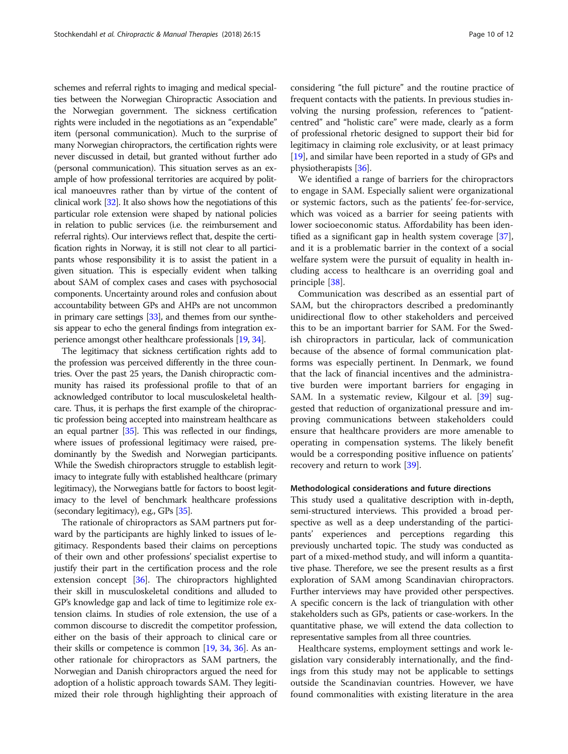schemes and referral rights to imaging and medical specialties between the Norwegian Chiropractic Association and the Norwegian government. The sickness certification rights were included in the negotiations as an "expendable" item (personal communication). Much to the surprise of many Norwegian chiropractors, the certification rights were never discussed in detail, but granted without further ado (personal communication). This situation serves as an example of how professional territories are acquired by political manoeuvres rather than by virtue of the content of clinical work [\[32](#page-11-0)]. It also shows how the negotiations of this particular role extension were shaped by national policies in relation to public services (i.e. the reimbursement and referral rights). Our interviews reflect that, despite the certification rights in Norway, it is still not clear to all participants whose responsibility it is to assist the patient in a given situation. This is especially evident when talking about SAM of complex cases and cases with psychosocial components. Uncertainty around roles and confusion about accountability between GPs and AHPs are not uncommon in primary care settings [\[33\]](#page-11-0), and themes from our synthesis appear to echo the general findings from integration experience amongst other healthcare professionals [\[19,](#page-11-0) [34\]](#page-11-0).

The legitimacy that sickness certification rights add to the profession was perceived differently in the three countries. Over the past 25 years, the Danish chiropractic community has raised its professional profile to that of an acknowledged contributor to local musculoskeletal healthcare. Thus, it is perhaps the first example of the chiropractic profession being accepted into mainstream healthcare as an equal partner [\[35\]](#page-11-0). This was reflected in our findings, where issues of professional legitimacy were raised, predominantly by the Swedish and Norwegian participants. While the Swedish chiropractors struggle to establish legitimacy to integrate fully with established healthcare (primary legitimacy), the Norwegians battle for factors to boost legitimacy to the level of benchmark healthcare professions (secondary legitimacy), e.g., GPs [\[35\]](#page-11-0).

The rationale of chiropractors as SAM partners put forward by the participants are highly linked to issues of legitimacy. Respondents based their claims on perceptions of their own and other professions' specialist expertise to justify their part in the certification process and the role extension concept [\[36\]](#page-11-0). The chiropractors highlighted their skill in musculoskeletal conditions and alluded to GP's knowledge gap and lack of time to legitimize role extension claims. In studies of role extension, the use of a common discourse to discredit the competitor profession, either on the basis of their approach to clinical care or their skills or competence is common [[19](#page-11-0), [34](#page-11-0), [36](#page-11-0)]. As another rationale for chiropractors as SAM partners, the Norwegian and Danish chiropractors argued the need for adoption of a holistic approach towards SAM. They legitimized their role through highlighting their approach of considering "the full picture" and the routine practice of frequent contacts with the patients. In previous studies involving the nursing profession, references to "patientcentred" and "holistic care" were made, clearly as a form of professional rhetoric designed to support their bid for legitimacy in claiming role exclusivity, or at least primacy [[19](#page-11-0)], and similar have been reported in a study of GPs and physiotherapists [\[36\]](#page-11-0).

We identified a range of barriers for the chiropractors to engage in SAM. Especially salient were organizational or systemic factors, such as the patients' fee-for-service, which was voiced as a barrier for seeing patients with lower socioeconomic status. Affordability has been identified as a significant gap in health system coverage [\[37](#page-11-0)], and it is a problematic barrier in the context of a social welfare system were the pursuit of equality in health including access to healthcare is an overriding goal and principle [[38\]](#page-11-0).

Communication was described as an essential part of SAM, but the chiropractors described a predominantly unidirectional flow to other stakeholders and perceived this to be an important barrier for SAM. For the Swedish chiropractors in particular, lack of communication because of the absence of formal communication platforms was especially pertinent. In Denmark, we found that the lack of financial incentives and the administrative burden were important barriers for engaging in SAM. In a systematic review, Kilgour et al. [\[39\]](#page-11-0) suggested that reduction of organizational pressure and improving communications between stakeholders could ensure that healthcare providers are more amenable to operating in compensation systems. The likely benefit would be a corresponding positive influence on patients' recovery and return to work [[39\]](#page-11-0).

#### Methodological considerations and future directions

This study used a qualitative description with in-depth, semi-structured interviews. This provided a broad perspective as well as a deep understanding of the participants' experiences and perceptions regarding this previously uncharted topic. The study was conducted as part of a mixed-method study, and will inform a quantitative phase. Therefore, we see the present results as a first exploration of SAM among Scandinavian chiropractors. Further interviews may have provided other perspectives. A specific concern is the lack of triangulation with other stakeholders such as GPs, patients or case-workers. In the quantitative phase, we will extend the data collection to representative samples from all three countries.

Healthcare systems, employment settings and work legislation vary considerably internationally, and the findings from this study may not be applicable to settings outside the Scandinavian countries. However, we have found commonalities with existing literature in the area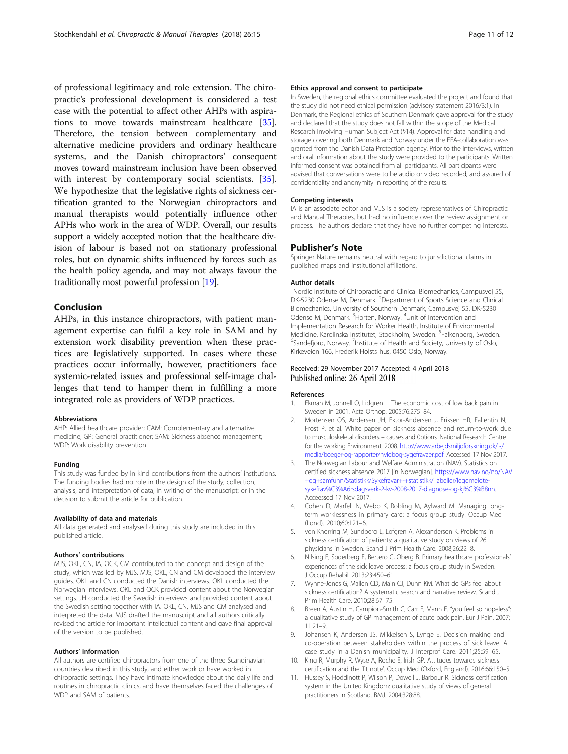<span id="page-10-0"></span>of professional legitimacy and role extension. The chiropractic's professional development is considered a test case with the potential to affect other AHPs with aspirations to move towards mainstream healthcare [\[35](#page-11-0)]. Therefore, the tension between complementary and alternative medicine providers and ordinary healthcare systems, and the Danish chiropractors' consequent moves toward mainstream inclusion have been observed with interest by contemporary social scientists. [\[35](#page-11-0)]. We hypothesize that the legislative rights of sickness certification granted to the Norwegian chiropractors and manual therapists would potentially influence other APHs who work in the area of WDP. Overall, our results support a widely accepted notion that the healthcare division of labour is based not on stationary professional roles, but on dynamic shifts influenced by forces such as the health policy agenda, and may not always favour the traditionally most powerful profession [[19](#page-11-0)].

### Conclusion

AHPs, in this instance chiropractors, with patient management expertise can fulfil a key role in SAM and by extension work disability prevention when these practices are legislatively supported. In cases where these practices occur informally, however, practitioners face systemic-related issues and professional self-image challenges that tend to hamper them in fulfilling a more integrated role as providers of WDP practices.

#### Abbreviations

AHP: Allied healthcare provider; CAM: Complementary and alternative medicine; GP: General practitioner; SAM: Sickness absence management; WDP: Work disability prevention

#### Funding

This study was funded by in kind contributions from the authors' institutions. The funding bodies had no role in the design of the study; collection, analysis, and interpretation of data; in writing of the manuscript; or in the decision to submit the article for publication.

#### Availability of data and materials

All data generated and analysed during this study are included in this published article.

#### Authors' contributions

MJS, OKL, CN, IA, OCK, CM contributed to the concept and design of the study, which was led by MJS. MJS, OKL, CN and CM developed the interview guides. OKL and CN conducted the Danish interviews. OKL conducted the Norwegian interviews. OKL and OCK provided content about the Norwegian settings. JH conducted the Swedish interviews and provided content about the Swedish setting together with IA. OKL, CN, MJS and CM analysed and interpreted the data. MJS drafted the manuscript and all authors critically revised the article for important intellectual content and gave final approval of the version to be published.

#### Authors' information

All authors are certified chiropractors from one of the three Scandinavian countries described in this study, and either work or have worked in chiropractic settings. They have intimate knowledge about the daily life and routines in chiropractic clinics, and have themselves faced the challenges of WDP and SAM of patients.

#### Ethics approval and consent to participate

In Sweden, the regional ethics committee evaluated the project and found that the study did not need ethical permission (advisory statement 2016/3:1). In Denmark, the Regional ethics of Southern Denmark gave approval for the study and declared that the study does not fall within the scope of the Medical Research Involving Human Subject Act (§14). Approval for data handling and storage covering both Denmark and Norway under the EEA-collaboration was granted from the Danish Data Protection agency. Prior to the interviews, written and oral information about the study were provided to the participants. Written informed consent was obtained from all participants. All participants were advised that conversations were to be audio or video recorded, and assured of confidentiality and anonymity in reporting of the results.

#### Competing interests

IA is an associate editor and MJS is a society representatives of Chiropractic and Manual Therapies, but had no influence over the review assignment or process. The authors declare that they have no further competing interests.

#### Publisher's Note

Springer Nature remains neutral with regard to jurisdictional claims in published maps and institutional affiliations.

#### Author details

<sup>1</sup>Nordic Institute of Chiropractic and Clinical Biomechanics, Campusvej 55 DK-5230 Odense M, Denmark. <sup>2</sup> Department of Sports Science and Clinical Biomechanics, University of Southern Denmark, Campusvej 55, DK-5230 Odense M, Denmark. <sup>3</sup> Horten, Norway. <sup>4</sup> Unit of Intervention and Implementation Research for Worker Health, Institute of Environmental Medicine, Karolinska Institutet, Stockholm, Sweden. <sup>5</sup>Falkenberg, Sweden.<br><sup>6</sup>Sandefierd, Norway <sup>7</sup> Institute of Health and Society University of Oslo. Sandefjord, Norway. <sup>7</sup>Institute of Health and Society, University of Oslo, Kirkeveien 166, Frederik Holsts hus, 0450 Oslo, Norway.

#### Received: 29 November 2017 Accepted: 4 April 2018 Published online: 26 April 2018

#### References

- 1. Ekman M, Johnell O, Lidgren L. The economic cost of low back pain in Sweden in 2001. Acta Orthop. 2005;76:275–84.
- 2. Mortensen OS, Andersen JH, Ektor-Andersen J, Eriksen HR, Fallentin N, Frost P, et al. White paper on sickness absence and return-to-work due to musculoskeletal disorders – causes and 0ptions. National Research Centre for the working Environment. 2008. [http://www.arbejdsmiljoforskning.dk/~/](http://www.arbejdsmiljoforskning.dk/~/media/boeger-og-rapporter/hvidbog-sygefravaer.pdf) [media/boeger-og-rapporter/hvidbog-sygefravaer.pdf](http://www.arbejdsmiljoforskning.dk/~/media/boeger-og-rapporter/hvidbog-sygefravaer.pdf). Accessed 17 Nov 2017.
- 3. The Norwegian Labour and Welfare Administration (NAV). Statistics on certified sickness absence 2017 [in Norwegian]. [https://www.nav.no/no/NAV](https://www.nav.no/no/NAV+og+samfunn/Statistikk/Sykefravar+-+statistikk/Tabeller/legemeldte-sykefrav%C3%A6rsdagsverk-2-kv-2008-2017-diagnose-og-kj%C3%B8nn) [+og+samfunn/Statistikk/Sykefravar+-+statistikk/Tabeller/legemeldte](https://www.nav.no/no/NAV+og+samfunn/Statistikk/Sykefravar+-+statistikk/Tabeller/legemeldte-sykefrav%C3%A6rsdagsverk-2-kv-2008-2017-diagnose-og-kj%C3%B8nn)[sykefrav%C3%A6rsdagsverk-2-kv-2008-2017-diagnose-og-kj%C3%B8nn](https://www.nav.no/no/NAV+og+samfunn/Statistikk/Sykefravar+-+statistikk/Tabeller/legemeldte-sykefrav%C3%A6rsdagsverk-2-kv-2008-2017-diagnose-og-kj%C3%B8nn). Acceessed 17 Nov 2017.
- 4. Cohen D, Marfell N, Webb K, Robling M, Aylward M. Managing longterm worklessness in primary care: a focus group study. Occup Med (Lond). 2010;60:121–6.
- 5. von Knorring M, Sundberg L, Lofgren A, Alexanderson K. Problems in sickness certification of patients: a qualitative study on views of 26 physicians in Sweden. Scand J Prim Health Care. 2008;26:22–8.
- 6. Nilsing E, Soderberg E, Bertero C, Oberg B. Primary healthcare professionals' experiences of the sick leave process: a focus group study in Sweden. J Occup Rehabil. 2013;23:450–61.
- 7. Wynne-Jones G, Mallen CD, Main CJ, Dunn KM. What do GPs feel about sickness certification? A systematic search and narrative review. Scand J Prim Health Care. 2010;28:67–75.
- 8. Breen A, Austin H, Campion-Smith C, Carr E, Mann E. "you feel so hopeless": a qualitative study of GP management of acute back pain. Eur J Pain. 2007; 11:21–9.
- 9. Johansen K, Andersen JS, Mikkelsen S, Lynge E. Decision making and co-operation between stakeholders within the process of sick leave. A case study in a Danish municipality. J Interprof Care. 2011;25:59–65.
- 10. King R, Murphy R, Wyse A, Roche E, Irish GP. Attitudes towards sickness certification and the 'fit note'. Occup Med (Oxford, England). 2016;66:150–5.
- 11. Hussey S, Hoddinott P, Wilson P, Dowell J, Barbour R. Sickness certification system in the United Kingdom: qualitative study of views of general practitioners in Scotland. BMJ. 2004;328:88.